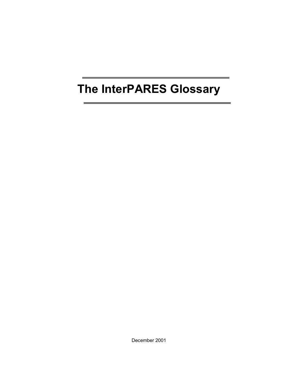# **The InterPARES Glossary**

December 2001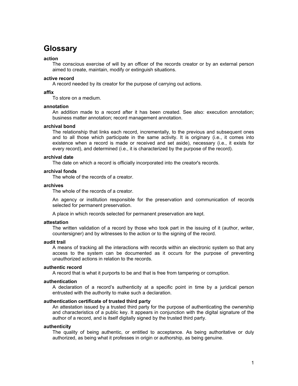# **Glossary**

# **action**

The conscious exercise of will by an officer of the records creator or by an external person aimed to create, maintain, modify or extinguish situations.

# **active record**

A record needed by its creator for the purpose of carrying out actions.

# **affix**

To store on a medium.

## **annotation**

An addition made to a record after it has been created. See also: execution annotation; business matter annotation; record management annotation.

# **archival bond**

The relationship that links each record, incrementally, to the previous and subsequent ones and to all those which participate in the same activity. It is originary (i.e., it comes into existence when a record is made or received and set aside), necessary (i.e., it exists for every record), and determined (i.e., it is characterized by the purpose of the record).

# **archival date**

The date on which a record is officially incorporated into the creator's records.

# **archival fonds**

The whole of the records of a creator.

# **archives**

The whole of the records of a creator.

An agency or institution responsible for the preservation and communication of records selected for permanent preservation.

A place in which records selected for permanent preservation are kept.

## **attestation**

The written validation of a record by those who took part in the issuing of it (author, writer, countersigner) and by witnesses to the action or to the signing of the record.

## **audit trail**

A means of tracking all the interactions with records within an electronic system so that any access to the system can be documented as it occurs for the purpose of preventing unauthorized actions in relation to the records.

## **authentic record**

A record that is what it purports to be and that is free from tampering or corruption.

## **authentication**

A declaration of a record's authenticity at a specific point in time by a juridical person entrusted with the authority to make such a declaration.

# **authentication certificate of trusted third party**

An attestation issued by a trusted third party for the purpose of authenticating the ownership and characteristics of a public key. It appears in conjunction with the digital signature of the author of a record, and is itself digitally signed by the trusted third party.

## **authenticity**

The quality of being authentic, or entitled to acceptance. As being authoritative or duly authorized, as being what it professes in origin or authorship, as being genuine.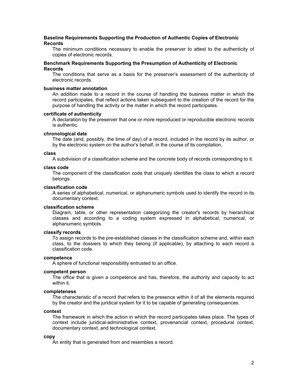# **Baseline Requirements Supporting the Production of Authentic Copies of Electronic Records**

The minimum conditions necessary to enable the preserver to attest to the authenticity of copies of electronic records.

# **Benchmark Requirements Supporting the Presumption of Authenticity of Electronic Records**

The conditions that serve as a basis for the preserver's assessment of the authenticity of electronic records.

# **business matter annotation**

An addition made to a record in the course of handling the business matter in which the record participates, that reflect actions taken subsequent to the creation of the record for the purpose of handling the activity or the matter in which the record participates.

# **certificate of authenticity**

A declaration by the preserver that one or more reproduced or reproducible electronic records is authentic.

# **chronological date**

The date (and, possibly, the time of day) of a record, included in the record by its author, or by the electronic system on the author's behalf, in the course of its compilation.

# **class**

A subdivision of a classification scheme and the concrete body of records corresponding to it.

# **class code**

The component of the classification code that uniquely identifies the class to which a record belongs.

# **classification code**

A series of alphabetical, numerical, or alphanumeric symbols used to identify the record in its documentary context.

#### **classification scheme**

Diagram, table, or other representation categorizing the creator's records by hierarchical classes and according to a coding system expressed in alphabetical, numerical, or alphanumeric symbols.

# **classify records**

To assign records to the pre-established classes in the classification scheme and, within each class, to the dossiers to which they belong (if applicable), by attaching to each record a classification code.

# **competence**

A sphere of functional responsibility entrusted to an office.

#### **competent person**

The office that is given a competence and has, therefore, the authority and capacity to act within it.

# **completeness**

The characteristic of a record that refers to the presence within it of all the elements required by the creator and the juridical system for it to be capable of generating consequences.

# **context**

The framework in which the action in which the record participates takes place. The types of context include juridical-administrative context, provenancial context, procedural context, documentary context, and technological context.

#### **copy**

An entity that is generated from and resembles a record.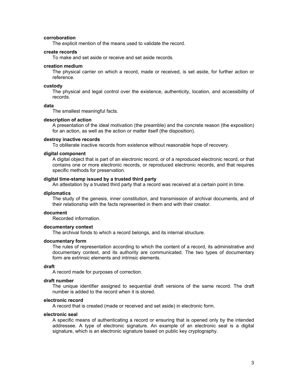# **corroboration**

The explicit mention of the means used to validate the record.

# **create records**

To make and set aside or receive and set aside records.

#### **creation medium**

The physical carrier on which a record, made or received, is set aside, for further action or reference.

#### **custody**

The physical and legal control over the existence, authenticity, location, and accessibility of records.

# **data**

The smallest meaningful facts.

#### **description of action**

A presentation of the ideal motivation (the preamble) and the concrete reason (the exposition) for an action, as well as the action or matter itself (the disposition).

# **destroy inactive records**

To obliterate inactive records from existence without reasonable hope of recovery.

#### **digital component**

A digital object that is part of an electronic record, or of a reproduced electronic record, or that contains one or more electronic records, or reproduced electronic records, and that requires specific methods for preservation.

#### **digital time-stamp issued by a trusted third party**

An attestation by a trusted third party that a record was received at a certain point in time.

#### **diplomatics**

The study of the genesis, inner constitution, and transmission of archival documents, and of their relationship with the facts represented in them and with their creator.

# **document**

Recorded information.

#### **documentary context**

The archival fonds to which a record belongs, and its internal structure.

#### **documentary form**

The rules of representation according to which the content of a record, its administrative and documentary context, and its authority are communicated. The two types of documentary form are extrinsic elements and intrinsic elements.

#### **draft**

A record made for purposes of correction.

#### **draft number**

The unique identifier assigned to sequential draft versions of the same record. The draft number is added to the record when it is stored.

# **electronic record**

A record that is created (made or received and set aside) in electronic form.

# **electronic seal**

A specific means of authenticating a record or ensuring that is opened only by the intended addressee. A type of electronic signature. An example of an electronic seal is a digital signature, which is an electronic signature based on public key cryptography.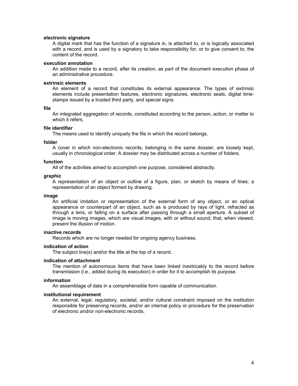# **electronic signature**

A digital mark that has the function of a signature in, is attached to, or is logically associated with a record, and is used by a signatory to take responsibility for, or to give consent to, the content of the record.

#### **execution annotation**

An addition made to a record, after its creation, as part of the document execution phase of an administrative procedure.

# **extrinsic elements**

An element of a record that constitutes its external appearance. The types of extrinsic elements include presentation features, electronic signatures, electronic seals, digital timestamps issued by a trusted third party, and special signs.

#### **file**

An integrated aggregation of records, constituted according to the person, action, or matter to which it refers.

#### **file identifier**

The means used to identify uniquely the file in which the record belongs.

#### **folder**

A cover in which non-electronic records, belonging in the same dossier, are loosely kept, usually in chronological order. A dossier may be distributed across a number of folders.

#### **function**

All of the activities aimed to accomplish one purpose, considered abstractly.

#### **graphic**

A representation of an object or outline of a figure, plan, or sketch by means of lines; a representation of an object formed by drawing.

## **image**

An artificial imitation or representation of the external form of any object, or an optical appearance or counterpart of an object, such as is produced by rays of light, refracted as through a lens, or falling on a surface after passing through a small aperture. A subset of image is moving images, which are visual images, with or without sound, that, when viewed, present the illusion of motion.

# **inactive records**

Records which are no longer needed for ongoing agency business.

#### **indication of action**

The subject line(s) and/or the title at the top of a record.

#### **indication of attachment**

The mention of autonomous items that have been linked inextricably to the record before transmission (i.e., added during its execution) in order for it to accomplish its purpose.

#### **information**

An assemblage of data in a comprehensible form capable of communication.

#### **institutional requirement**

An external, legal, regulatory, societal, and/or cultural constraint imposed on the institution responsible for preserving records, and/or an internal policy or procedure for the preservation of electronic and/or non-electronic records.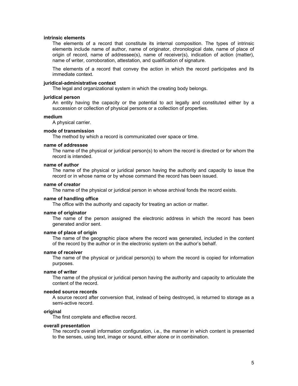# **intrinsic elements**

The elements of a record that constitute its internal composition. The types of intrinsic elements include name of author, name of originator, chronological date, name of place of origin of record, name of addressee(s), name of receiver(s), indication of action (matter), name of writer, corroboration, attestation, and qualification of signature.

The elements of a record that convey the action in which the record participates and its immediate context.

# **juridical-administrative context**

The legal and organizational system in which the creating body belongs.

# **juridical person**

An entity having the capacity or the potential to act legally and constituted either by a succession or collection of physical persons or a collection of properties.

#### **medium**

A physical carrier.

# **mode of transmission**

The method by which a record is communicated over space or time.

#### **name of addressee**

The name of the physical or juridical person(s) to whom the record is directed or for whom the record is intended.

#### **name of author**

The name of the physical or juridical person having the authority and capacity to issue the record or in whose name or by whose command the record has been issued.

#### **name of creator**

The name of the physical or juridical person in whose archival fonds the record exists.

# **name of handling office**

The office with the authority and capacity for treating an action or matter.

# **name of originator**

The name of the person assigned the electronic address in which the record has been generated and/or sent.

# **name of place of origin**

The name of the geographic place where the record was generated, included in the content of the record by the author or in the electronic system on the author's behalf.

# **name of receiver**

The name of the physical or juridical person(s) to whom the record is copied for information purposes.

#### **name of writer**

The name of the physical or juridical person having the authority and capacity to articulate the content of the record.

#### **needed source records**

A source record after conversion that, instead of being destroyed, is returned to storage as a semi-active record.

# **original**

The first complete and effective record.

#### **overall presentation**

The record's overall information configuration, i.e., the manner in which content is presented to the senses, using text, image or sound, either alone or in combination.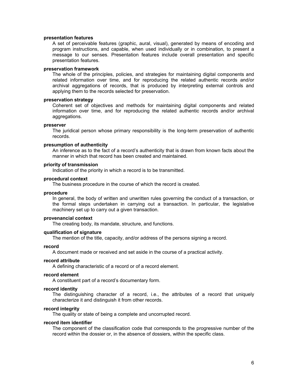# **presentation features**

A set of perceivable features (graphic, aural, visual), generated by means of encoding and program instructions, and capable, when used individually or in combination, to present a message to our senses. Presentation features include overall presentation and specific presentation features.

#### **preservation framework**

The whole of the principles, policies, and strategies for maintaining digital components and related information over time, and for reproducing the related authentic records and/or archival aggregations of records, that is produced by interpreting external controls and applying them to the records selected for preservation.

#### **preservation strategy**

Coherent set of objectives and methods for maintaining digital components and related information over time, and for reproducing the related authentic records and/or archival aggregations.

#### **preserver**

The juridical person whose primary responsibility is the long-term preservation of authentic records.

# **presumption of authenticity**

An inference as to the fact of a record's authenticity that is drawn from known facts about the manner in which that record has been created and maintained.

# **priority of transmission**

Indication of the priority in which a record is to be transmitted.

#### **procedural context**

The business procedure in the course of which the record is created.

#### **procedure**

In general, the body of written and unwritten rules governing the conduct of a transaction, or the formal steps undertaken in carrying out a transaction. In particular, the legislative machinery set up to carry out a given transaction.

#### **provenancial context**

The creating body, its mandate, structure, and functions.

# **qualification of signature**

The mention of the title, capacity, and/or address of the persons signing a record.

# **record**

A document made or received and set aside in the course of a practical activity.

#### **record attribute**

A defining characteristic of a record or of a record element.

#### **record element**

A constituent part of a record's documentary form.

#### **record identity**

The distinguishing character of a record, i.e., the attributes of a record that uniquely characterize it and distinguish it from other records.

#### **record integrity**

The quality or state of being a complete and uncorrupted record.

#### **record item identifier**

The component of the classification code that corresponds to the progressive number of the record within the dossier or, in the absence of dossiers, within the specific class.